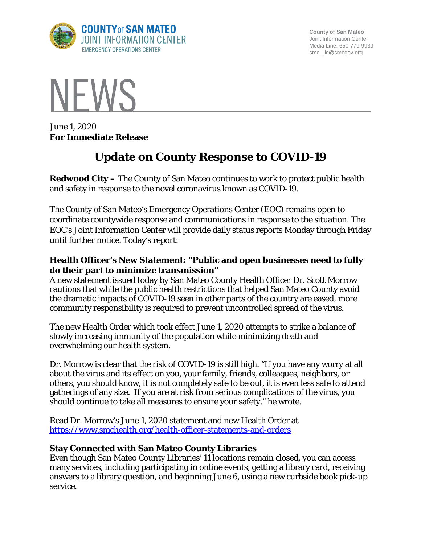

**County of San Mateo** Joint Information Center Media Line: 650-779-9939 smc\_ jic@smcgov.org



June 1, 2020 **For Immediate Release**

# **Update on County Response to COVID-19**

**Redwood City –** The County of San Mateo continues to work to protect public health and safety in response to the novel coronavirus known as COVID-19.

The County of San Mateo's Emergency Operations Center (EOC) remains open to coordinate countywide response and communications in response to the situation. The EOC's Joint Information Center will provide daily status reports Monday through Friday until further notice. Today's report:

## **Health Officer's New Statement: "Public and open businesses need to fully do their part to minimize transmission"**

A new statement issued today by San Mateo County Health Officer Dr. Scott Morrow cautions that while the public health restrictions that helped San Mateo County avoid the dramatic impacts of COVID-19 seen in other parts of the country are eased, more community responsibility is required to prevent uncontrolled spread of the virus.

The new Health Order which took effect June 1, 2020 attempts to strike a balance of slowly increasing immunity of the population while minimizing death and overwhelming our health system.

Dr. Morrow is clear that the risk of COVID-19 is still high. "If you have any worry at all about the virus and its effect on you, your family, friends, colleagues, neighbors, or others, you should know, it is not completely safe to be out, it is even less safe to attend gatherings of any size. If you are at risk from serious complications of the virus, you should continue to take all measures to ensure your safety," he wrote.

Read Dr. Morrow's June 1, 2020 statement and new Health Order at <https://www.smchealth.org/health-officer-statements-and-orders>

## **Stay Connected with San Mateo County Libraries**

Even though San Mateo County Libraries' 11 locations remain closed, you can access many services, including participating in online events, getting a library card, receiving answers to a library question, and beginning June 6, using a new curbside book pick-up service.